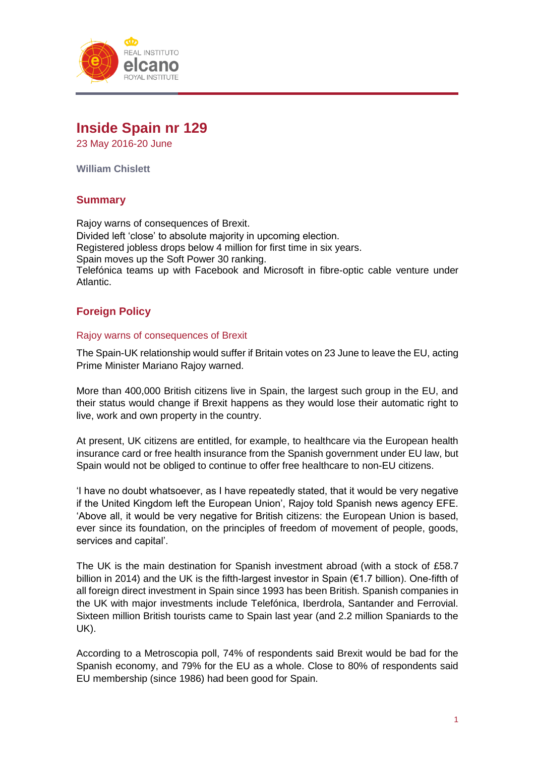

# **Inside Spain nr 129**

23 May 2016-20 June

**William Chislett**

# **Summary**

Rajoy warns of consequences of Brexit. Divided left 'close' to absolute majority in upcoming election. Registered jobless drops below 4 million for first time in six years. Spain moves up the Soft Power 30 ranking. Telefónica teams up with Facebook and Microsoft in fibre-optic cable venture under Atlantic.

# **Foreign Policy**

### Rajoy warns of consequences of Brexit

The Spain-UK relationship would suffer if Britain votes on 23 June to leave the EU, acting Prime Minister Mariano Rajoy warned.

More than 400,000 British citizens live in Spain, the largest such group in the EU, and their status would change if Brexit happens as they would lose their automatic right to live, work and own property in the country.

At present, UK citizens are entitled, for example, to healthcare via the European health insurance card or free health insurance from the Spanish government under EU law, but Spain would not be obliged to continue to offer free healthcare to non-EU citizens.

'I have no doubt whatsoever, as I have repeatedly stated, that it would be very negative if the United Kingdom left the European Union', Rajoy told Spanish news agency EFE. 'Above all, it would be very negative for British citizens: the European Union is based, ever since its foundation, on the principles of freedom of movement of people, goods, services and capital'.

The UK is the main destination for Spanish investment abroad (with a stock of £58.7 billion in 2014) and the UK is the fifth-largest investor in Spain (€1.7 billion). One-fifth of all foreign direct investment in Spain since 1993 has been British. Spanish companies in the UK with major investments include Telefónica, Iberdrola, Santander and Ferrovial. Sixteen million British tourists came to Spain last year (and 2.2 million Spaniards to the UK).

According to a Metroscopia poll, 74% of respondents said Brexit would be bad for the Spanish economy, and 79% for the EU as a whole. Close to 80% of respondents said EU membership (since 1986) had been good for Spain.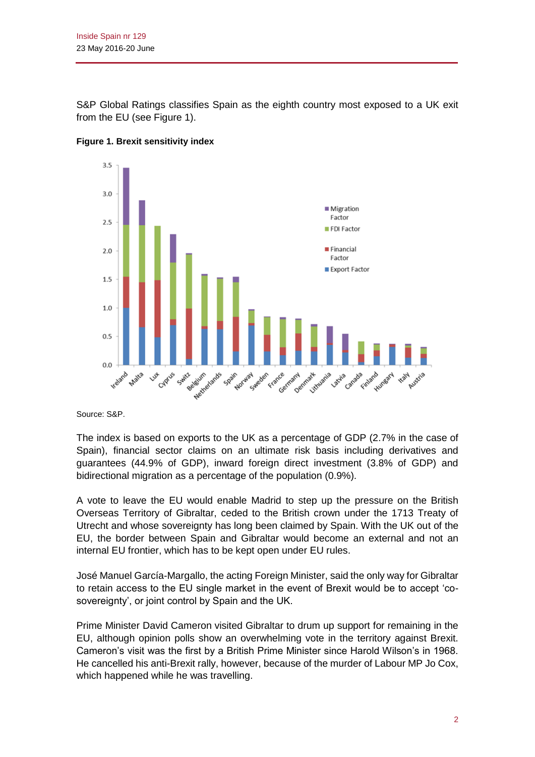S&P Global Ratings classifies Spain as the eighth country most exposed to a UK exit from the EU (see Figure 1).



**Figure 1. Brexit sensitivity index**

Source: S&P.

The index is based on exports to the UK as a percentage of GDP (2.7% in the case of Spain), financial sector claims on an ultimate risk basis including derivatives and guarantees (44.9% of GDP), inward foreign direct investment (3.8% of GDP) and bidirectional migration as a percentage of the population (0.9%).

A vote to leave the EU would enable Madrid to step up the pressure on the British Overseas Territory of Gibraltar, ceded to the British crown under the 1713 Treaty of Utrecht and whose sovereignty has long been claimed by Spain. With the UK out of the EU, the border between Spain and Gibraltar would become an external and not an internal EU frontier, which has to be kept open under EU rules.

José Manuel García-Margallo, the acting Foreign Minister, said the only way for Gibraltar to retain access to the EU single market in the event of Brexit would be to accept 'cosovereignty', or joint control by Spain and the UK.

Prime Minister David Cameron visited Gibraltar to drum up support for remaining in the EU, although opinion polls show an overwhelming vote in the territory against Brexit. Cameron's visit was the first by a British Prime Minister since Harold Wilson's in 1968. He cancelled his anti-Brexit rally, however, because of the murder of Labour MP Jo Cox, which happened while he was travelling.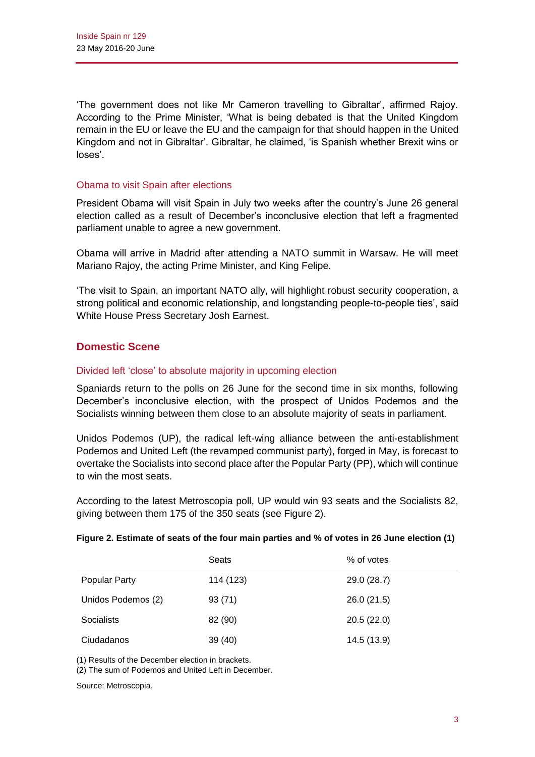'The government does not like Mr Cameron travelling to Gibraltar', affirmed Rajoy. According to the Prime Minister, 'What is being debated is that the United Kingdom remain in the EU or leave the EU and the campaign for that should happen in the United Kingdom and not in Gibraltar'. Gibraltar, he claimed, 'is Spanish whether Brexit wins or loses'.

### Obama to visit Spain after elections

President Obama will visit Spain in July two weeks after the country's June 26 general election called as a result of December's inconclusive election that left a fragmented parliament unable to agree a new government.

Obama will arrive in Madrid after attending a NATO summit in Warsaw. He will meet Mariano Rajoy, the acting Prime Minister, and King Felipe.

'The visit to Spain, an important NATO ally, will highlight robust security cooperation, a strong political and economic relationship, and longstanding people-to-people ties', said White House Press Secretary Josh Earnest.

# **Domestic Scene**

### Divided left 'close' to absolute majority in upcoming election

Spaniards return to the polls on 26 June for the second time in six months, following December's inconclusive election, with the prospect of Unidos Podemos and the Socialists winning between them close to an absolute majority of seats in parliament.

Unidos Podemos (UP), the radical left-wing alliance between the anti-establishment Podemos and United Left (the revamped communist party), forged in May, is forecast to overtake the Socialists into second place after the Popular Party (PP), which will continue to win the most seats.

According to the latest Metroscopia poll, UP would win 93 seats and the Socialists 82, giving between them 175 of the 350 seats (see Figure 2).

| Figure 2. Estimate of seats of the four main parties and % of votes in 26 June election (1) |  |  |
|---------------------------------------------------------------------------------------------|--|--|
|---------------------------------------------------------------------------------------------|--|--|

|                      | Seats     | % of votes  |
|----------------------|-----------|-------------|
| <b>Popular Party</b> | 114 (123) | 29.0 (28.7) |
| Unidos Podemos (2)   | 93(71)    | 26.0(21.5)  |
| Socialists           | 82 (90)   | 20.5(22.0)  |
| Ciudadanos           | 39 (40)   | 14.5 (13.9) |

(1) Results of the December election in brackets.

(2) The sum of Podemos and United Left in December.

Source: Metroscopia.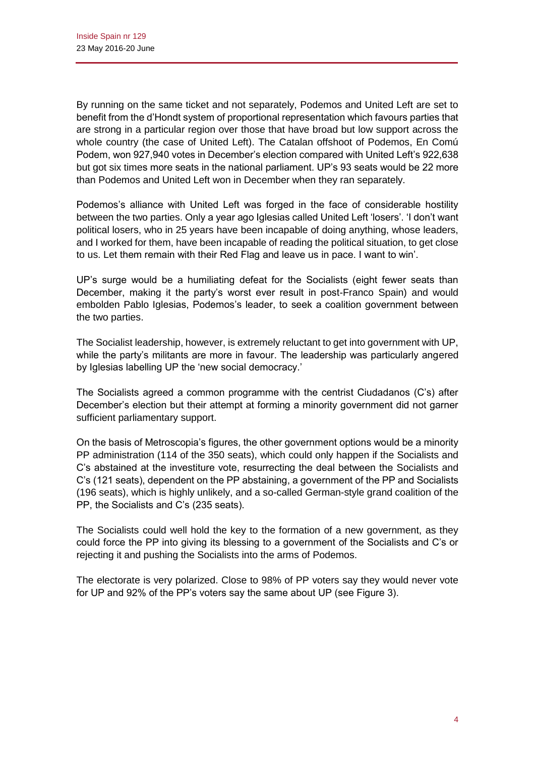By running on the same ticket and not separately, Podemos and United Left are set to benefit from the d'Hondt system of proportional representation which favours parties that are strong in a particular region over those that have broad but low support across the whole country (the case of United Left). The Catalan offshoot of Podemos, En Comú Podem, won 927,940 votes in December's election compared with United Left's 922,638 but got six times more seats in the national parliament. UP's 93 seats would be 22 more than Podemos and United Left won in December when they ran separately.

Podemos's alliance with United Left was forged in the face of considerable hostility between the two parties. Only a year ago Iglesias called United Left 'losers'. 'I don't want political losers, who in 25 years have been incapable of doing anything, whose leaders, and I worked for them, have been incapable of reading the political situation, to get close to us. Let them remain with their Red Flag and leave us in pace. I want to win'.

UP's surge would be a humiliating defeat for the Socialists (eight fewer seats than December, making it the party's worst ever result in post-Franco Spain) and would embolden Pablo Iglesias, Podemos's leader, to seek a coalition government between the two parties.

The Socialist leadership, however, is extremely reluctant to get into government with UP, while the party's militants are more in favour. The leadership was particularly angered by Iglesias labelling UP the 'new social democracy.'

The Socialists agreed a common programme with the centrist Ciudadanos (C's) after December's election but their attempt at forming a minority government did not garner sufficient parliamentary support.

On the basis of Metroscopia's figures, the other government options would be a minority PP administration (114 of the 350 seats), which could only happen if the Socialists and C's abstained at the investiture vote, resurrecting the deal between the Socialists and C's (121 seats), dependent on the PP abstaining, a government of the PP and Socialists (196 seats), which is highly unlikely, and a so-called German-style grand coalition of the PP, the Socialists and C's (235 seats).

The Socialists could well hold the key to the formation of a new government, as they could force the PP into giving its blessing to a government of the Socialists and C's or rejecting it and pushing the Socialists into the arms of Podemos.

The electorate is very polarized. Close to 98% of PP voters say they would never vote for UP and 92% of the PP's voters say the same about UP (see Figure 3).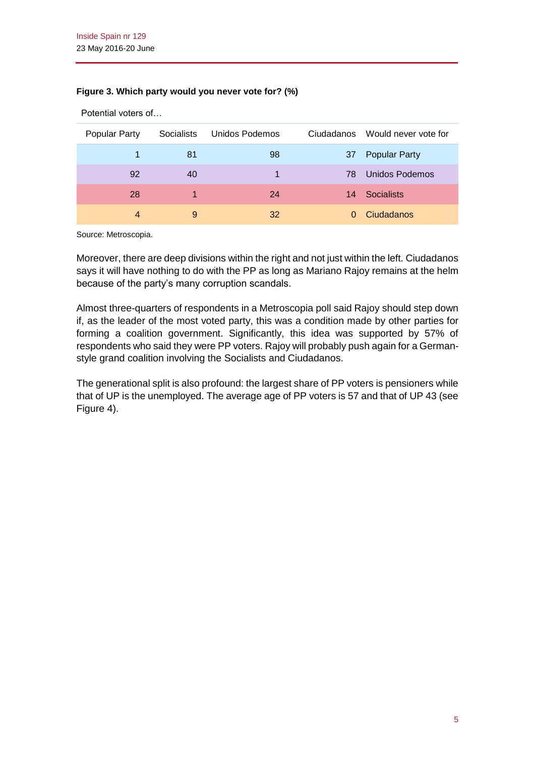### **Figure 3. Which party would you never vote for? (%)**

| Popular Party | Socialists | Unidos Podemos | Ciudadanos | Would never vote for |
|---------------|------------|----------------|------------|----------------------|
|               | 81         | 98             | 37         | <b>Popular Party</b> |
| 92            | 40         |                | 78.        | Unidos Podemos       |
| 28            |            | 24             |            | 14 Socialists        |
| 4             | 9          | 32             |            | Ciudadanos           |

Potential voters of…

Source: Metroscopia.

Moreover, there are deep divisions within the right and not just within the left. Ciudadanos says it will have nothing to do with the PP as long as Mariano Rajoy remains at the helm because of the party's many corruption scandals.

Almost three-quarters of respondents in a Metroscopia poll said Rajoy should step down if, as the leader of the most voted party, this was a condition made by other parties for forming a coalition government. Significantly, this idea was supported by 57% of respondents who said they were PP voters. Rajoy will probably push again for a Germanstyle grand coalition involving the Socialists and Ciudadanos.

The generational split is also profound: the largest share of PP voters is pensioners while that of UP is the unemployed. The average age of PP voters is 57 and that of UP 43 (see Figure 4).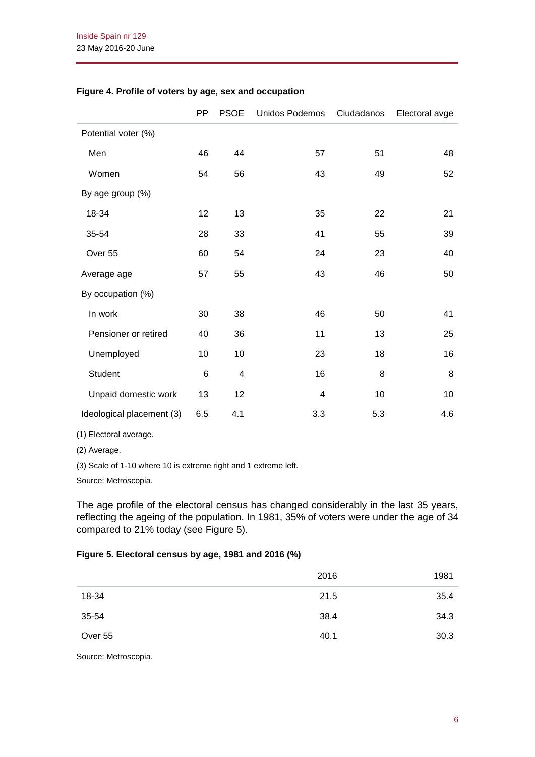|                           | <b>PP</b> | <b>PSOE</b>    | Unidos Podemos | Ciudadanos | Electoral avge |
|---------------------------|-----------|----------------|----------------|------------|----------------|
| Potential voter (%)       |           |                |                |            |                |
| Men                       | 46        | 44             | 57             | 51         | 48             |
| Women                     | 54        | 56             | 43             | 49         | 52             |
| By age group (%)          |           |                |                |            |                |
| 18-34                     | 12        | 13             | 35             | 22         | 21             |
| 35-54                     | 28        | 33             | 41             | 55         | 39             |
| Over 55                   | 60        | 54             | 24             | 23         | 40             |
| Average age               | 57        | 55             | 43             | 46         | 50             |
| By occupation (%)         |           |                |                |            |                |
| In work                   | 30        | 38             | 46             | 50         | 41             |
| Pensioner or retired      | 40        | 36             | 11             | 13         | 25             |
| Unemployed                | 10        | 10             | 23             | 18         | 16             |
| Student                   | 6         | $\overline{4}$ | 16             | 8          | 8              |
| Unpaid domestic work      | 13        | 12             | 4              | 10         | 10             |
| Ideological placement (3) | 6.5       | 4.1            | 3.3            | 5.3        | 4.6            |

### **Figure 4. Profile of voters by age, sex and occupation**

(1) Electoral average.

(2) Average.

(3) Scale of 1-10 where 10 is extreme right and 1 extreme left.

Source: Metroscopia.

The age profile of the electoral census has changed considerably in the last 35 years, reflecting the ageing of the population. In 1981, 35% of voters were under the age of 34 compared to 21% today (see Figure 5).

### **Figure 5. Electoral census by age, 1981 and 2016 (%)**

|                                          | 2016 | 1981 |
|------------------------------------------|------|------|
| 18-34                                    | 21.5 | 35.4 |
| 35-54                                    | 38.4 | 34.3 |
| Over 55                                  | 40.1 | 30.3 |
| $\sim$ $\sim$ $\sim$ $\sim$<br>$\bullet$ |      |      |

Source: Metroscopia.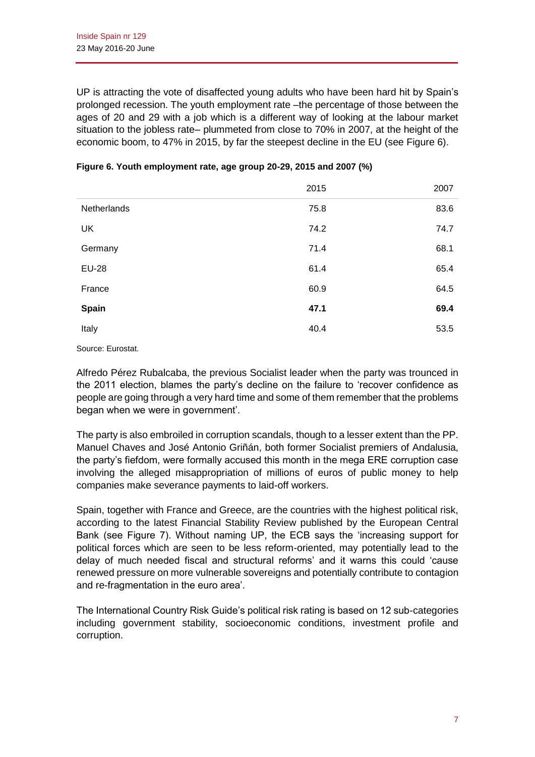UP is attracting the vote of disaffected young adults who have been hard hit by Spain's prolonged recession. The youth employment rate –the percentage of those between the ages of 20 and 29 with a job which is a different way of looking at the labour market situation to the jobless rate– plummeted from close to 70% in 2007, at the height of the economic boom, to 47% in 2015, by far the steepest decline in the EU (see Figure 6).

|              | 2015 | 2007 |
|--------------|------|------|
| Netherlands  | 75.8 | 83.6 |
| <b>UK</b>    | 74.2 | 74.7 |
| Germany      | 71.4 | 68.1 |
| <b>EU-28</b> | 61.4 | 65.4 |
| France       | 60.9 | 64.5 |
| Spain        | 47.1 | 69.4 |
| Italy        | 40.4 | 53.5 |

| Figure 6. Youth employment rate, age group 20-29, 2015 and 2007 (%) |  |  |
|---------------------------------------------------------------------|--|--|
|---------------------------------------------------------------------|--|--|

Source: Eurostat.

Alfredo Pérez Rubalcaba, the previous Socialist leader when the party was trounced in the 2011 election, blames the party's decline on the failure to 'recover confidence as people are going through a very hard time and some of them remember that the problems began when we were in government'.

The party is also embroiled in corruption scandals, though to a lesser extent than the PP. Manuel Chaves and José Antonio Griñán, both former Socialist premiers of Andalusia, the party's fiefdom, were formally accused this month in the mega ERE corruption case involving the alleged misappropriation of millions of euros of public money to help companies make severance payments to laid-off workers.

Spain, together with France and Greece, are the countries with the highest political risk, according to the latest Financial Stability Review published by the European Central Bank (see Figure 7). Without naming UP, the ECB says the 'increasing support for political forces which are seen to be less reform-oriented, may potentially lead to the delay of much needed fiscal and structural reforms' and it warns this could 'cause renewed pressure on more vulnerable sovereigns and potentially contribute to contagion and re-fragmentation in the euro area'.

The International Country Risk Guide's political risk rating is based on 12 sub-categories including government stability, socioeconomic conditions, investment profile and corruption.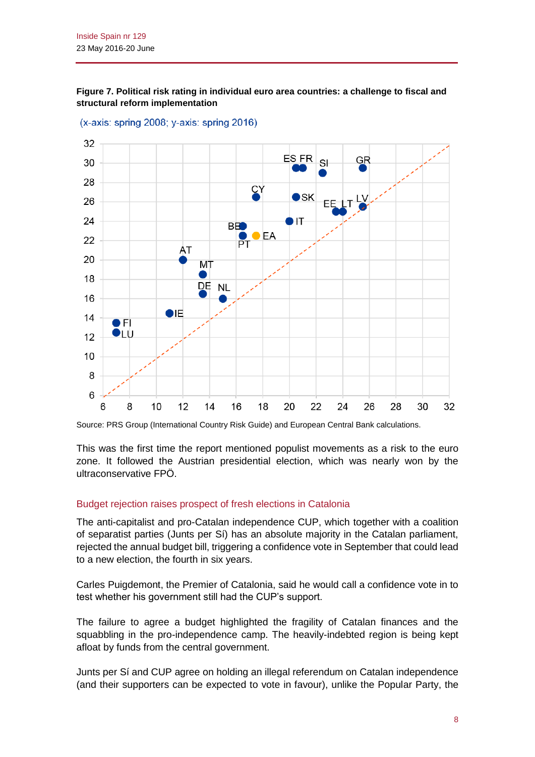

**Figure 7. Political risk rating in individual euro area countries: a challenge to fiscal and** 

(x-axis: spring 2008; y-axis: spring 2016)

**structural reform implementation**

Source: PRS Group (International Country Risk Guide) and European Central Bank calculations.

This was the first time the report mentioned populist movements as a risk to the euro zone. It followed the Austrian presidential election, which was nearly won by the ultraconservative FPÖ.

#### Budget rejection raises prospect of fresh elections in Catalonia

The anti-capitalist and pro-Catalan independence CUP, which together with a coalition of separatist parties (Junts per Sí) has an absolute majority in the Catalan parliament, rejected the annual budget bill, triggering a confidence vote in September that could lead to a new election, the fourth in six years.

Carles Puigdemont, the Premier of Catalonia, said he would call a confidence vote in to test whether his government still had the CUP's support.

The failure to agree a budget highlighted the fragility of Catalan finances and the squabbling in the pro-independence camp. The heavily-indebted region is being kept afloat by funds from the central government.

Junts per Sí and CUP agree on holding an illegal referendum on Catalan independence (and their supporters can be expected to vote in favour), unlike the Popular Party, the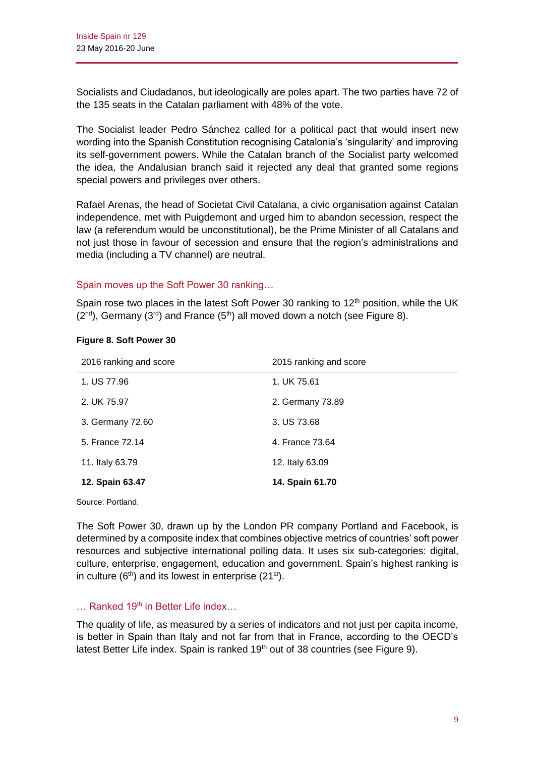Socialists and Ciudadanos, but ideologically are poles apart. The two parties have 72 of the 135 seats in the Catalan parliament with 48% of the vote.

The Socialist leader Pedro Sánchez called for a political pact that would insert new wording into the Spanish Constitution recognising Catalonia's 'singularity' and improving its self-government powers. While the Catalan branch of the Socialist party welcomed the idea, the Andalusian branch said it rejected any deal that granted some regions special powers and privileges over others.

Rafael Arenas, the head of Societat Civil Catalana, a civic organisation against Catalan independence, met with Puigdemont and urged him to abandon secession, respect the law (a referendum would be unconstitutional), be the Prime Minister of all Catalans and not just those in favour of secession and ensure that the region's administrations and media (including a TV channel) are neutral.

### Spain moves up the Soft Power 30 ranking…

Spain rose two places in the latest Soft Power 30 ranking to  $12<sup>th</sup>$  position, while the UK  $(2^{nd})$ , Germany  $(3^{rd})$  and France  $(5^{th})$  all moved down a notch (see Figure 8).

|  | Figure 8. Soft Power 30 |  |
|--|-------------------------|--|
|  |                         |  |

| 2016 ranking and score | 2015 ranking and score |
|------------------------|------------------------|
| 1. US 77.96            | 1. UK 75.61            |
| 2. UK 75.97            | 2. Germany 73.89       |
| 3. Germany 72.60       | 3. US 73.68            |
| 5. France 72.14        | 4. France 73.64        |
| 11. Italy 63.79        | 12. Italy 63.09        |
| 12. Spain 63.47        | 14. Spain 61.70        |
|                        |                        |

Source: Portland.

The Soft Power 30, drawn up by the London PR company Portland and Facebook, is determined by a composite index that combines objective metrics of countries' soft power resources and subjective international polling data. It uses six sub-categories: digital, culture, enterprise, engagement, education and government. Spain's highest ranking is in culture  $(6<sup>th</sup>)$  and its lowest in enterprise  $(21<sup>st</sup>)$ .

### $\ldots$  Ranked 19<sup>th</sup> in Better Life index...

The quality of life, as measured by a series of indicators and not just per capita income, is better in Spain than Italy and not far from that in France, according to the OECD's latest Better Life index. Spain is ranked 19<sup>th</sup> out of 38 countries (see Figure 9).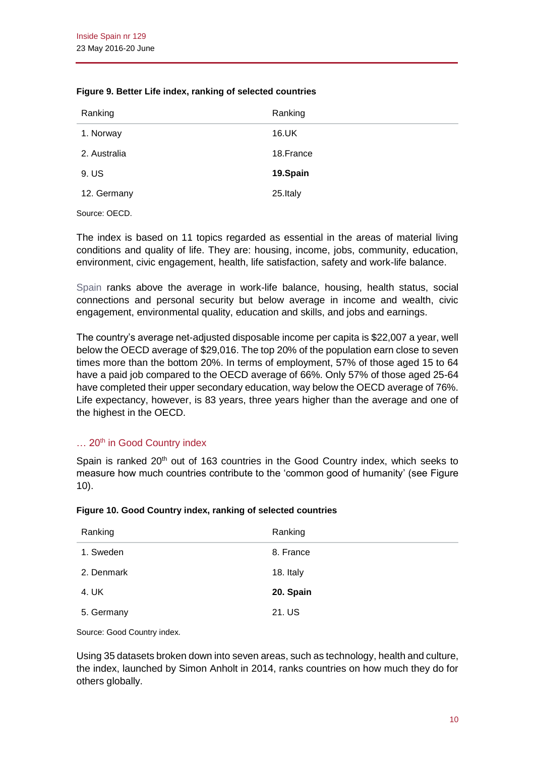|  |  |  | Figure 9. Better Life index, ranking of selected countries |  |  |
|--|--|--|------------------------------------------------------------|--|--|
|--|--|--|------------------------------------------------------------|--|--|

| Ranking      | Ranking    |
|--------------|------------|
| 1. Norway    | 16.UK      |
| 2. Australia | 18. France |
| 9. US        | 19.Spain   |
| 12. Germany  | 25.Italy   |

Source: OECD.

The index is based on 11 topics regarded as essential in the areas of material living conditions and quality of life. They are: housing, income, jobs, community, education, environment, civic engagement, health, life satisfaction, safety and work-life balance.

[Spain](http://www.oecdbetterlifeindex.org/countries/spain/) ranks above the average in work-life balance, housing, health status, social connections and personal security but below average in income and wealth, civic engagement, environmental quality, education and skills, and jobs and earnings.

The country's average net-adjusted disposable income per capita is \$22,007 a year, well below the OECD average of \$29,016. The top 20% of the population earn close to seven times more than the bottom 20%. In terms of employment, 57% of those aged 15 to 64 have a paid job compared to the OECD average of 66%. Only 57% of those aged 25-64 have completed their upper secondary education, way below the OECD average of 76%. Life expectancy, however, is 83 years, three years higher than the average and one of the highest in the OECD.

# $\ldots$  20<sup>th</sup> in Good Country index

Spain is ranked  $20<sup>th</sup>$  out of 163 countries in the Good Country index, which seeks to measure how much countries contribute to the 'common good of humanity' (see Figure 10).

| Figure 10. Good Country index, ranking of selected countries |  |  |
|--------------------------------------------------------------|--|--|
|                                                              |  |  |

| Ranking    | Ranking   |
|------------|-----------|
| 1. Sweden  | 8. France |
| 2. Denmark | 18. Italy |
| 4. UK      | 20. Spain |
| 5. Germany | 21. US    |

Source: Good Country index.

Using 35 datasets broken down into seven areas, such as technology, health and culture, the index, launched by Simon Anholt in 2014, ranks countries on how much they do for others globally.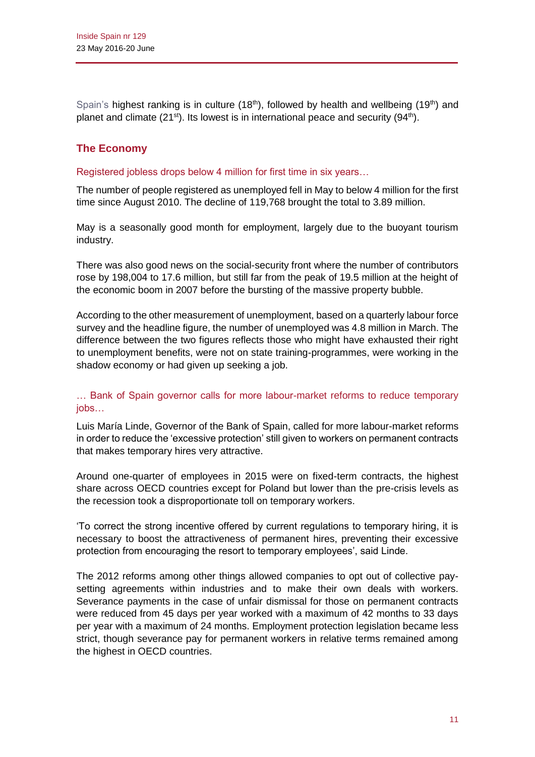[Spain's](http://goodcountry.org/index/overall-rankings) highest ranking is in culture  $(18<sup>th</sup>)$ , followed by health and wellbeing  $(19<sup>th</sup>)$  and planet and climate (21<sup>st</sup>). Its lowest is in international peace and security (94<sup>th</sup>).

# **The Economy**

Registered jobless drops below 4 million for first time in six years…

The number of people registered as unemployed fell in May to below 4 million for the first time since August 2010. The decline of 119,768 brought the total to 3.89 million.

May is a seasonally good month for employment, largely due to the buoyant tourism industry.

There was also good news on the social-security front where the number of contributors rose by 198,004 to 17.6 million, but still far from the peak of 19.5 million at the height of the economic boom in 2007 before the bursting of the massive property bubble.

According to the other measurement of unemployment, based on a quarterly labour force survey and the headline figure, the number of unemployed was 4.8 million in March. The difference between the two figures reflects those who might have exhausted their right to unemployment benefits, were not on state training-programmes, were working in the shadow economy or had given up seeking a job.

# … Bank of Spain governor calls for more labour-market reforms to reduce temporary jobs…

Luis María Linde, Governor of the Bank of Spain, called for more labour-market reforms in order to reduce the 'excessive protection' still given to workers on permanent contracts that makes temporary hires very attractive.

Around one-quarter of employees in 2015 were on fixed-term contracts, the highest share across OECD countries except for Poland but lower than the pre-crisis levels as the recession took a disproportionate toll on temporary workers.

'To correct the strong incentive offered by current regulations to temporary hiring, it is necessary to boost the attractiveness of permanent hires, preventing their excessive protection from encouraging the resort to temporary employees', said Linde.

The 2012 reforms among other things allowed companies to opt out of collective paysetting agreements within industries and to make their own deals with workers. Severance payments in the case of unfair dismissal for those on permanent contracts were reduced from 45 days per year worked with a maximum of 42 months to 33 days per year with a maximum of 24 months. Employment protection legislation became less strict, though severance pay for permanent workers in relative terms remained among the highest in OECD countries.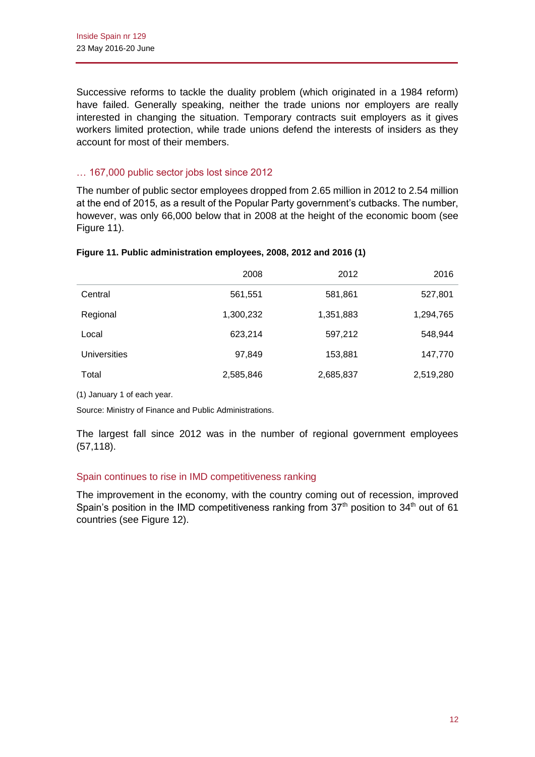Successive reforms to tackle the duality problem (which originated in a 1984 reform) have failed. Generally speaking, neither the trade unions nor employers are really interested in changing the situation. Temporary contracts suit employers as it gives workers limited protection, while trade unions defend the interests of insiders as they account for most of their members.

### … 167,000 public sector jobs lost since 2012

The number of public sector employees dropped from 2.65 million in 2012 to 2.54 million at the end of 2015, as a result of the Popular Party government's cutbacks. The number, however, was only 66,000 below that in 2008 at the height of the economic boom (see Figure 11).

| Figure 11. Public administration employees, 2008, 2012 and 2016 (1) |  |
|---------------------------------------------------------------------|--|
|                                                                     |  |

|                     | 2008      | 2012      | 2016      |
|---------------------|-----------|-----------|-----------|
| Central             | 561,551   | 581,861   | 527,801   |
| Regional            | 1,300,232 | 1,351,883 | 1,294,765 |
| Local               | 623,214   | 597,212   | 548,944   |
| <b>Universities</b> | 97,849    | 153,881   | 147,770   |
| Total               | 2,585,846 | 2,685,837 | 2,519,280 |

(1) January 1 of each year.

Source: Ministry of Finance and Public Administrations.

The largest fall since 2012 was in the number of regional government employees (57,118).

### Spain continues to rise in IMD competitiveness ranking

The improvement in the economy, with the country coming out of recession, improved Spain's position in the IMD competitiveness ranking from  $37<sup>th</sup>$  position to  $34<sup>th</sup>$  out of 61 countries (see Figure 12).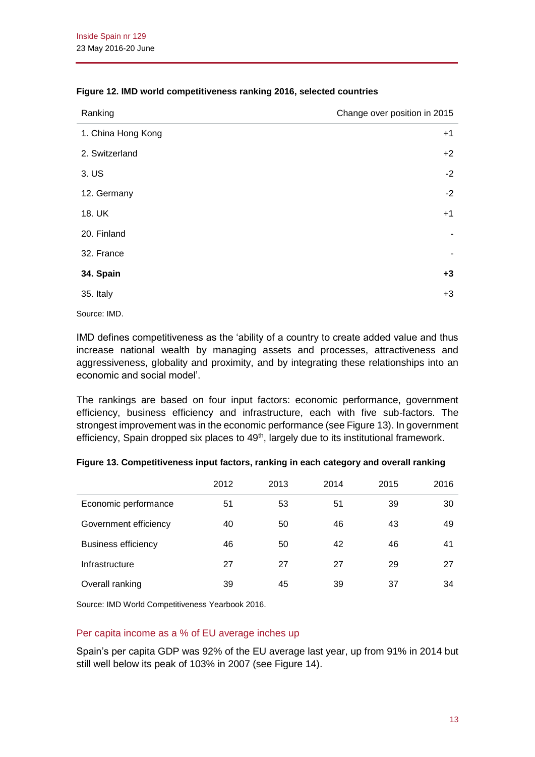| Ranking            | Change over position in 2015 |
|--------------------|------------------------------|
| 1. China Hong Kong | $+1$                         |
| 2. Switzerland     | $+2$                         |
| 3. US              | $-2$                         |
| 12. Germany        | $-2$                         |
| 18. UK             | $+1$                         |
| 20. Finland        |                              |
| 32. France         | ٠                            |
| 34. Spain          | $+3$                         |
| 35. Italy          | $+3$                         |

#### **Figure 12. IMD world competitiveness ranking 2016, selected countries**

Source: IMD.

IMD defines competitiveness as the 'ability of a country to create added value and thus increase national wealth by managing assets and processes, attractiveness and aggressiveness, globality and proximity, and by integrating these relationships into an economic and social model'.

The rankings are based on four input factors: economic performance, government efficiency, business efficiency and infrastructure, each with five sub-factors. The strongest improvement was in the economic performance (see Figure 13). In government efficiency, Spain dropped six places to  $49<sup>th</sup>$ , largely due to its institutional framework.

| Figure 13. Competitiveness input factors, ranking in each category and overall ranking |  |  |
|----------------------------------------------------------------------------------------|--|--|
|                                                                                        |  |  |

|                            | 2012 | 2013 | 2014 | 2015 | 2016 |
|----------------------------|------|------|------|------|------|
| Economic performance       | 51   | 53   | 51   | 39   | 30   |
| Government efficiency      | 40   | 50   | 46   | 43   | 49   |
| <b>Business efficiency</b> | 46   | 50   | 42   | 46   | 41   |
| Infrastructure             | 27   | 27   | 27   | 29   | 27   |
| Overall ranking            | 39   | 45   | 39   | 37   | 34   |

Source: IMD World Competitiveness Yearbook 2016.

### Per capita income as a % of EU average inches up

Spain's per capita GDP was 92% of the EU average last year, up from 91% in 2014 but still well below its peak of 103% in 2007 (see Figure 14).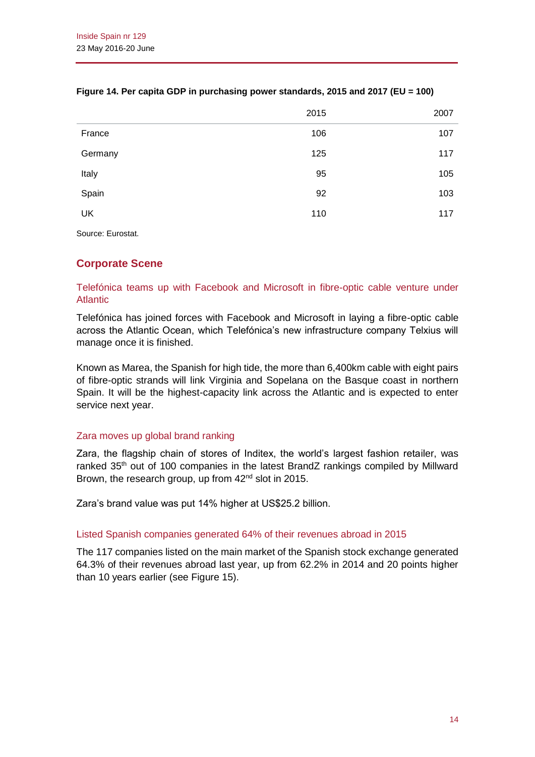|         | 2015 | 2007 |
|---------|------|------|
| France  | 106  | 107  |
| Germany | 125  | 117  |
| Italy   | 95   | 105  |
| Spain   | 92   | 103  |
| UK      | 110  | 117  |
|         |      |      |

### **Figure 14. Per capita GDP in purchasing power standards, 2015 and 2017 (EU = 100)**

Source: Eurostat.

# **Corporate Scene**

### Telefónica teams up with Facebook and Microsoft in fibre-optic cable venture under **Atlantic**

Telefónica has joined forces with Facebook and Microsoft in laying a fibre-optic cable across the Atlantic Ocean, which Telefónica's new infrastructure company Telxius will manage once it is finished.

Known as Marea, the Spanish for high tide, the more than 6,400km cable with eight pairs of fibre-optic strands will link Virginia and Sopelana on the Basque coast in northern Spain. It will be the highest-capacity link across the Atlantic and is expected to enter service next year.

### Zara moves up global brand ranking

Zara, the flagship chain of stores of Inditex, the world's largest fashion retailer, was ranked  $35<sup>th</sup>$  out of 100 companies in the latest BrandZ rankings compiled by Millward Brown, the research group, up from 42<sup>nd</sup> slot in 2015.

Zara's brand value was put 14% higher at US\$25.2 billion.

### Listed Spanish companies generated 64% of their revenues abroad in 2015

The 117 companies listed on the main market of the Spanish stock exchange generated 64.3% of their revenues abroad last year, up from 62.2% in 2014 and 20 points higher than 10 years earlier (see Figure 15).